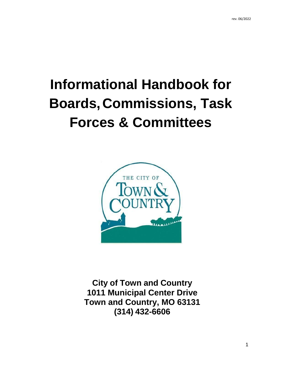# **Informational Handbook for Boards, Commissions, Task Forces & Committees**



**City of Town and Country 1011 Municipal Center Drive Town and Country, MO 63131 (314) 432-6606**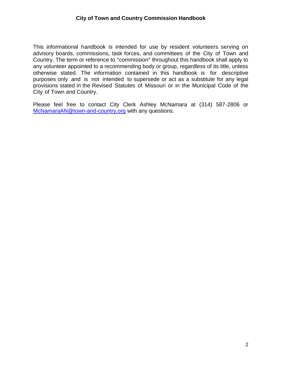This informational handbook is intended for use by resident volunteers serving on advisory boards, commissions, task forces, and committees of the City of Town and Country. The term or reference to "commission" throughout this handbook shall apply to any volunteer appointed to a recommending body or group, regardless of its title, unless otherwise stated. The information contained in this handbook is for descriptive purposes only and is not intended to supersede or act as a substitute for any legal provisions stated in the Revised Statutes of Missouri or in the Municipal Code of the City of Town and Country.

Please feel free to contact City Clerk Ashley McNamara at (314) 587-2806 or [McNamaraAN@town-and-country.org](mailto:McNamaraAN@town-and-country.org) with any questions.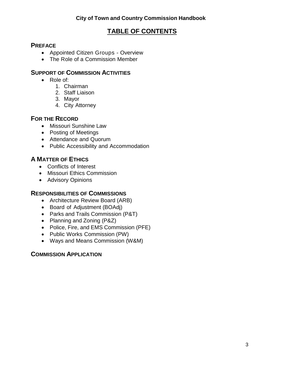# **TABLE OF CONTENTS**

## **PREFACE**

- Appointed Citizen Groups Overview
- The Role of a Commission Member

# **SUPPORT OF COMMISSION ACTIVITIES**

- Role of:
	- 1. Chairman
	- 2. Staff Liaison
	- 3. Mayor
	- 4. City Attorney

# **FOR THE RECORD**

- Missouri Sunshine Law
- Posting of Meetings
- Attendance and Quorum
- Public Accessibility and Accommodation

# **A MATTER OF ETHICS**

- Conflicts of Interest
- Missouri Ethics Commission
- **•** Advisory Opinions

# **RESPONSIBILITIES OF COMMISSIONS**

- Architecture Review Board (ARB)
- Board of Adjustment (BOAdj)
- Parks and Trails Commission (P&T)
- Planning and Zoning (P&Z)
- Police, Fire, and EMS Commission (PFE)
- Public Works Commission (PW)
- Ways and Means Commission (W&M)

# **COMMISSION APPLICATION**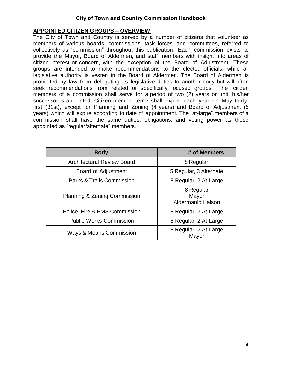#### **City of Town and Country Commission Handbook**

#### **APPOINTED CITIZEN GROUPS – OVERVIEW**

The City of Town and Country is served by a number of citizens that volunteer as members of various boards, commissions, task forces and committees, referred to collectively as "commission" throughout this publication. Each commission exists to provide the Mayor, Board of Aldermen, and staff members with insight into areas of citizen interest or concern, with the exception of the Board of Adjustment. These groups are intended to make recommendations to the elected officials, while all legislative authority is vested in the Board of Aldermen. The Board of Aldermen is prohibited by law from delegating its legislative duties to another body but will often seek recommendations from related or specifically focused groups. The citizen members of a commission shall serve for a period of two (2) years or until his/her successor is appointed. Citizen member terms shall expire each year on May thirtyfirst (31st), except for Planning and Zoning (4 years) and Board of Adjustment (5 years) which will expire according to date of appointment. The "at-large" members of a commission shall have the same duties, obligations, and voting power as those appointed as "regular/alternate" members.

| <b>Body</b>                             | # of Members                             |
|-----------------------------------------|------------------------------------------|
| <b>Architectural Review Board</b>       | 8 Regular                                |
| Board of Adjustment                     | 5 Regular, 3 Alternate                   |
| <b>Parks &amp; Trails Commission</b>    | 8 Regular, 2 At-Large                    |
| <b>Planning &amp; Zoning Commission</b> | 8 Regular<br>Mayor<br>Aldermanic Liaison |
| Police, Fire & EMS Commission           | 8 Regular, 2 At-Large                    |
| <b>Public Works Commission</b>          | 8 Regular, 2 At-Large                    |
| <b>Ways &amp; Means Commission</b>      | 8 Regular, 2 At-Large<br>Mayor           |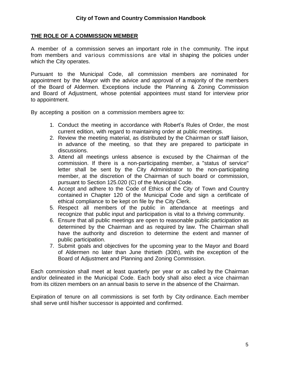#### **THE ROLE OF A COMMISSION MEMBER**

A member of a commission serves an important role in the community. The input from members and various commissions are vital in shaping the policies under which the City operates.

Pursuant to the Municipal Code, all commission members are nominated for appointment by the Mayor with the advice and approval of a majority of the members of the Board of Aldermen. Exceptions include the Planning & Zoning Commission and Board of Adjustment, whose potential appointees must stand for interview prior to appointment.

By accepting a position on a commission members agree to:

- 1. Conduct the meeting in accordance with Robert's Rules of Order, the most current edition, with regard to maintaining order at public meetings.
- 2. Review the meeting material, as distributed by the Chairman or staff liaison, in advance of the meeting, so that they are prepared to participate in discussions.
- 3. Attend all meetings unless absence is excused by the Chairman of the commission. If there is a non-participating member, a "status of service" letter shall be sent by the City Administrator to the non-participating member, at the discretion of the Chairman of such board or commission, pursuant to Section 125.020 (C) of the Municipal Code.
- 4. Accept and adhere to the Code of Ethics of the City of Town and Country contained in Chapter 120 of the Municipal Code and sign a certificate of ethical compliance to be kept on file by the City Clerk.
- 5. Respect all members of the public in attendance at meetings and recognize that public input and participation is vital to a thriving community.
- 6. Ensure that all public meetings are open to reasonable public participation as determined by the Chairman and as required by law. The Chairman shall have the authority and discretion to determine the extent and manner of public participation.
- 7. Submit goals and objectives for the upcoming year to the Mayor and Board of Aldermen no later than June thirtieth (30th), with the exception of the Board of Adjustment and Planning and Zoning Commission.

Each commission shall meet at least quarterly per year or as called by the Chairman and/or delineated in the Municipal Code. Each body shall also elect a vice chairman from its citizen members on an annual basis to serve in the absence of the Chairman.

Expiration of tenure on all commissions is set forth by City ordinance. Each member shall serve until his/her successor is appointed and confirmed.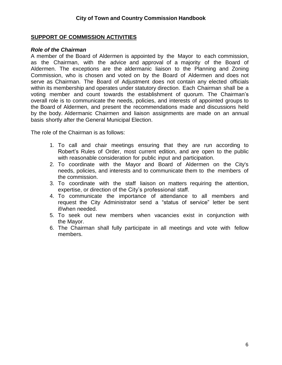#### **City of Town and Country Commission Handbook**

#### **SUPPORT OF COMMISSION ACTIVITIES**

#### *Role of the Chairman*

A member of the Board of Aldermen is appointed by the Mayor to each commission, as the Chairman, with the advice and approval of a majority of the Board of Aldermen. The exceptions are the aldermanic liaison to the Planning and Zoning Commission, who is chosen and voted on by the Board of Aldermen and does not serve as Chairman. The Board of Adjustment does not contain any elected officials within its membership and operates under statutory direction. Each Chairman shall be a voting member and count towards the establishment of quorum. The Chairman's overall role is to communicate the needs, policies, and interests of appointed groups to the Board of Aldermen, and present the recommendations made and discussions held by the body. Aldermanic Chairmen and liaison assignments are made on an annual basis shortly after the General Municipal Election.

The role of the Chairman is as follows:

- 1. To call and chair meetings ensuring that they are run according to Robert's Rules of Order, most current edition, and are open to the public with reasonable consideration for public input and participation.
- 2. To coordinate with the Mayor and Board of Aldermen on the City's needs, policies, and interests and to communicate them to the members of the commission.
- 3. To coordinate with the staff liaison on matters requiring the attention, expertise, or direction of the City's professional staff.
- 4. To communicate the importance of attendance to all members and request the City Administrator send a "status of service" letter be sent if/when needed.
- 5. To seek out new members when vacancies exist in conjunction with the Mayor.
- 6. The Chairman shall fully participate in all meetings and vote with fellow members.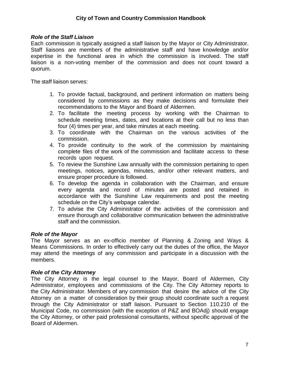#### *Role of the Staff Liaison*

Each commission is typically assigned a staff liaison by the Mayor or City Administrator. Staff liaisons are members of the administrative staff and have knowledge and/or expertise in the functional area in which the commission is involved. The staff liaison is a non-voting member of the commission and does not count toward a quorum.

The staff liaison serves:

- 1. To provide factual, background, and pertinent information on matters being considered by commissions as they make decisions and formulate their recommendations to the Mayor and Board of Aldermen.
- 2. To facilitate the meeting process by working with the Chairman to schedule meeting times, dates, and locations at their call but no less than four (4) times per year, and take minutes at each meeting.
- 3. To coordinate with the Chairman on the various activities of the commission.
- 4. To provide continuity to the work of the commission by maintaining complete files of the work of the commission and facilitate access to these records upon request.
- 5. To review the Sunshine Law annually with the commission pertaining to open meetings, notices, agendas, minutes, and/or other relevant matters, and ensure proper procedure is followed.
- 6. To develop the agenda in collaboration with the Chairman, and ensure every agenda and record of minutes are posted and retained in accordance with the Sunshine Law requirements and post the meeting schedule on the City's webpage calendar.
- 7. To advise the City Administrator of the activities of the commission and ensure thorough and collaborative communication between the administrative staff and the commission.

#### *Role of the Mayor*

The Mayor serves as an ex-officio member of Planning & Zoning and Ways & Means Commissions. In order to effectively carry out the duties of the office, the Mayor may attend the meetings of any commission and participate in a discussion with the members.

#### *Role of the City Attorney*

The City Attorney is the legal counsel to the Mayor, Board of Aldermen, City Administrator, employees and commissions of the City. The City Attorney reports to the City Administrator. Members of any commission that desire the advice of the City Attorney on a matter of consideration by their group should coordinate such a request through the City Administrator or staff liaison. Pursuant to Section 110.210 of the Municipal Code, no commission (with the exception of P&Z and BOAdj) should engage the City Attorney, or other paid professional consultants, without specific approval of the Board of Aldermen.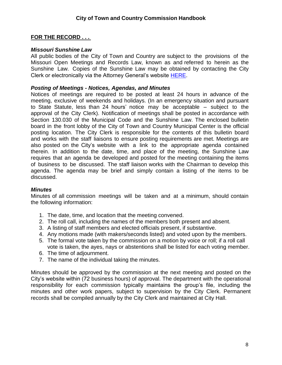#### **FOR THE RECORD . . .**

#### *Missouri Sunshine Law*

All public bodies of the City of Town and Country are subject to the provisions of the Missouri Open Meetings and Records Law, known as and referred to herein as the Sunshine Law. Copies of the Sunshine Law may be obtained by contacting the City Clerk or electronically via the Attorney General's website [HERE.](https://ago.mo.gov/docs/default-source/publications/missourisunshinelaw.pdf?sfvrsn=%2020)

#### *Posting of Meetings - Notices, Agendas, and Minutes*

Notices of meetings are required to be posted at least 24 hours in advance of the meeting, exclusive of weekends and holidays. (In an emergency situation and pursuant to State Statute, less than 24 hours' notice may be acceptable – subject to the approval of the City Clerk). Notification of meetings shall be posted in accordance with Section 130.030 of the Municipal Code and the Sunshine Law. The enclosed bulletin board in the front lobby of the City of Town and Country Municipal Center is the official posting location. The City Clerk is responsible for the contents of this bulletin board and works with the staff liaisons to ensure posting requirements are met. Meetings are also posted on the City's website with a link to the appropriate agenda contained therein. In addition to the date, time, and place of the meeting, the Sunshine Law requires that an agenda be developed and posted for the meeting containing the items of business to be discussed. The staff liaison works with the Chairman to develop this agenda. The agenda may be brief and simply contain a listing of the items to be discussed.

#### *Minutes*

Minutes of all commission meetings will be taken and at a minimum, should contain the following information:

- 1. The date, time, and location that the meeting convened.
- 2. The roll call, including the names of the members both present and absent.
- 3. A listing of staff members and elected officials present, if substantive.
- 4. Any motions made (with makers/seconds listed) and voted upon by the members.
- 5. The formal vote taken by the commission on a motion by voice or roll; if a roll call vote is taken, the ayes, nays or abstentions shall be listed for each voting member.
- 6. The time of adjournment.
- 7. The name of the individual taking the minutes.

Minutes should be approved by the commission at the next meeting and posted on the City's website within (72 business hours) of approval. The department with the operational responsibility for each commission typically maintains the group's file, including the minutes and other work papers, subject to supervision by the City Clerk. Permanent records shall be compiled annually by the City Clerk and maintained at City Hall.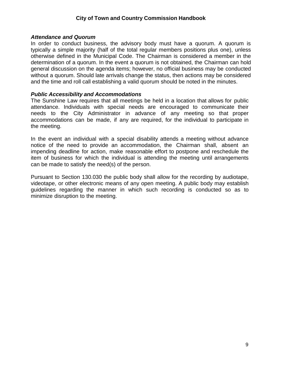#### **City of Town and Country Commission Handbook**

#### *Attendance and Quorum*

In order to conduct business, the advisory body must have a quorum. A quorum is typically a simple majority (half of the total regular members positions plus one), unless otherwise defined in the Municipal Code. The Chairman is considered a member in the determination of a quorum. In the event a quorum is not obtained, the Chairman can hold general discussion on the agenda items; however, no official business may be conducted without a quorum. Should late arrivals change the status, then actions may be considered and the time and roll call establishing a valid quorum should be noted in the minutes.

#### *Public Accessibility and Accommodations*

The Sunshine Law requires that all meetings be held in a location that allows for public attendance. Individuals with special needs are encouraged to communicate their needs to the City Administrator in advance of any meeting so that proper accommodations can be made, if any are required, for the individual to participate in the meeting.

In the event an individual with a special disability attends a meeting without advance notice of the need to provide an accommodation, the Chairman shall, absent an impending deadline for action, make reasonable effort to postpone and reschedule the item of business for which the individual is attending the meeting until arrangements can be made to satisfy the need(s) of the person.

Pursuant to Section 130.030 the public body shall allow for the recording by audiotape, videotape, or other electronic means of any open meeting. A public body may establish guidelines regarding the manner in which such recording is conducted so as to minimize disruption to the meeting.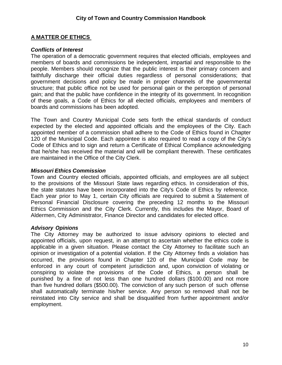#### **A MATTER OF ETHICS**

#### *Conflicts of Interest*

The operation of a democratic government requires that elected officials, employees and members of boards and commissions be independent, impartial and responsible to the people. Members should recognize that the public interest is their primary concern and faithfully discharge their official duties regardless of personal considerations; that government decisions and policy be made in proper channels of the governmental structure; that public office not be used for personal gain or the perception of personal gain; and that the public have confidence in the integrity of its government. In recognition of these goals, a Code of Ethics for all elected officials, employees and members of boards and commissions has been adopted.

The Town and Country Municipal Code sets forth the ethical standards of conduct expected by the elected and appointed officials and the employees of the City. Each appointed member of a commission shall adhere to the Code of Ethics found in Chapter 120 of the Municipal Code. Each appointee is also required to read a copy of the City's Code of Ethics and to sign and return a Certificate of Ethical Compliance acknowledging that he/she has received the material and will be compliant therewith. These certificates are maintained in the Office of the City Clerk.

#### *Missouri Ethics Commission*

Town and Country elected officials, appointed officials, and employees are all subject to the provisions of the Missouri State laws regarding ethics. In consideration of this, the state statutes have been incorporated into the City's Code of Ethics by reference. Each year prior to May 1, certain City officials are required to submit a Statement of Personal Financial Disclosure covering the preceding 12 months to the Missouri Ethics Commission and the City Clerk. Currently, this includes the Mayor, Board of Aldermen, City Administrator, Finance Director and candidates for elected office.

#### *Advisory Opinions*

The City Attorney may be authorized to issue advisory opinions to elected and appointed officials, upon request, in an attempt to ascertain whether the ethics code is applicable in a given situation. Please contact the City Attorney to facilitate such an opinion or investigation of a potential violation. If the City Attorney finds a violation has occurred, the provisions found in Chapter 120 of the Municipal Code may be enforced in any court of competent jurisdiction and, upon conviction of violating or conspiring to violate the provisions of the Code of Ethics, a person shall be punished by a fine of not less than one hundred dollars (\$100.00) and not more than five hundred dollars (\$500.00). The conviction of any such person of such offense shall automatically terminate his/her service. Any person so removed shall not be reinstated into City service and shall be disqualified from further appointment and/or employment.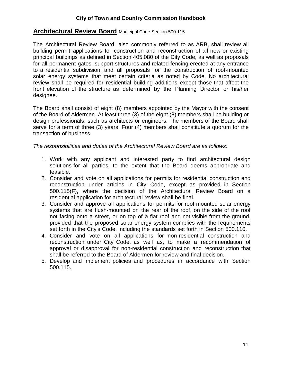#### **Architectural Review Board** Municipal Code Section 500.115

The Architectural Review Board, also commonly referred to as ARB, shall review all building permit applications for construction and reconstruction of all new or existing principal buildings as defined in Section 405.080 of the City Code, as well as proposals for all permanent gates, support structures and related fencing erected at any entrance to a residential subdivision, and all proposals for the construction of roof-mounted solar energy systems that meet certain criteria as noted by Code. No architectural review shall be required for residential building additions except those that affect the front elevation of the structure as determined by the Planning Director or his/her designee.

The Board shall consist of eight (8) members appointed by the Mayor with the consent of the Board of Aldermen. At least three (3) of the eight (8) members shall be building or design professionals, such as architects or engineers. The members of the Board shall serve for a term of three (3) years. Four (4) members shall constitute a quorum for the transaction of business.

*The responsibilities and duties of the Architectural Review Board are as follows:*

- 1. Work with any applicant and interested party to find architectural design solutions for all parties, to the extent that the Board deems appropriate and feasible.
- 2. Consider and vote on all applications for permits for residential construction and reconstruction under articles in City Code, except as provided in Section 500.115(F), where the decision of the Architectural Review Board on a residential application for architectural review shall be final.
- 3. Consider and approve all applications for permits for roof-mounted solar energy systems that are flush-mounted on the rear of the roof, on the side of the roof not facing onto a street, or on top of a flat roof and not visible from the ground, provided that the proposed solar energy system complies with the requirements set forth in the City's Code, including the standards set forth in Section 500.110.
- 4. Consider and vote on all applications for non-residential construction and reconstruction under City Code, as well as, to make a recommendation of approval or disapproval for non-residential construction and reconstruction that shall be referred to the Board of Aldermen for review and final decision.
- 5. Develop and implement policies and procedures in accordance with Section 500.115.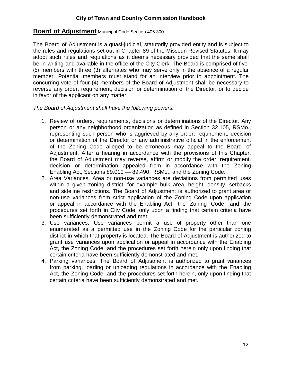#### **Board of Adjustment** Municipal Code Section 405.300

The Board of Adjustment is a quasi-judicial, statutorily provided entity and is subject to the rules and regulations set out in Chapter 89 of the Missouri Revised Statutes. It may adopt such rules and regulations as it deems necessary provided that the same shall be in writing and available in the office of the City Clerk. The Board is comprised of five (5) members with three (3) alternates who may serve only in the absence of a regular member. Potential members must stand for an interview prior to appointment. The concurring vote of four (4) members of the Board of Adjustment shall be necessary to reverse any order, requirement, decision or determination of the Director, or to decide in favor of the applicant on any matter.

*The Board of Adjustment shall have the following powers:*

- 1. Review of orders, requirements, decisions or determinations of the Director. Any person or any neighborhood organization as defined in Section 32.105, RSMo., representing such person who is aggrieved by any order, requirement, decision or determination of the Director or any administrative official in the enforcement of the Zoning Code alleged to be erroneous may appeal to the Board of Adjustment. After a hearing in accordance with the provisions of this Chapter, the Board of Adjustment may reverse, affirm or modify the order, requirement, decision or determination appealed from in accordance with the Zoning Enabling Act, Sections 89.010 — 89.490, RSMo., and the Zoning Code.
- 2. Area Variances. Area or non-use variances are deviations from permitted uses within a given zoning district, for example bulk area, height, density, setbacks and sideline restrictions. The Board of Adjustment is authorized to grant area or non-use variances from strict application of the Zoning Code upon application or appeal in accordance with the Enabling Act, the Zoning Code, and the procedures set forth in City Code, only upon a finding that certain criteria have been sufficiently demonstrated and met.
- 3. Use variances. Use variances permit a use of property other than one enumerated as a permitted use in the Zoning Code for the particular zoning district in which that property is located. The Board of Adjustment is authorized to grant use variances upon application or appeal in accordance with the Enabling Act, the Zoning Code, and the procedures set forth herein only upon finding that certain criteria have been sufficiently demonstrated and met.
- 4. Parking variances. The Board of Adjustment is authorized to grant variances from parking, loading or unloading regulations in accordance with the Enabling Act, the Zoning Code, and the procedures set forth herein, only upon finding that certain criteria have been sufficiently demonstrated and met.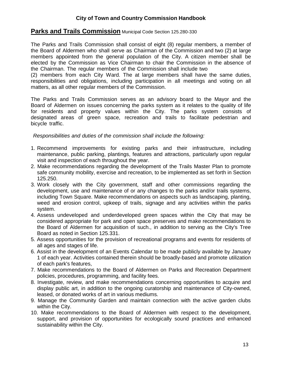#### **Parks and Trails Commission** Municipal Code Section 125.280-330

The Parks and Trails Commission shall consist of eight (8) regular members, a member of the Board of Aldermen who shall serve as Chairman of the Commission and two (2) at large members appointed from the general population of the City. A citizen member shall be elected by the Commission as Vice Chairman to chair the Commission in the absence of the Chairman. The regular members of the Commission shall include two

(2) members from each City Ward. The at large members shall have the same duties, responsibilities and obligations, including participation in all meetings and voting on all matters, as all other regular members of the Commission.

The Parks and Trails Commission serves as an advisory board to the Mayor and the Board of Aldermen on issues concerning the parks system as it relates to the quality of life for residents and property values within the City. The parks system consists of designated areas of green space, recreation and trails to facilitate pedestrian and bicycle traffic.

*Responsibilities and duties of the commission shall include the following:*

- 1. Recommend improvements for existing parks and their infrastructure, including maintenance, public parking, plantings, features and attractions, particularly upon regular visit and inspection of each throughout the year.
- 2. Make recommendations regarding the development of the Trails Master Plan to promote safe community mobility, exercise and recreation, to be implemented as set forth in Section 125.250.
- 3. Work closely with the City government, staff and other commissions regarding the development, use and maintenance of or any changes to the parks and/or trails systems, including Town Square. Make recommendations on aspects such as landscaping, planting, weed and erosion control, upkeep of trails, signage and any activities within the parks system.
- 4. Assess undeveloped and underdeveloped green spaces within the City that may be considered appropriate for park and open space preserves and make recommendations to the Board of Aldermen for acquisition of such., in addition to serving as the City's Tree Board as noted in Section 125.331.
- 5. Assess opportunities for the provision of recreational programs and events for residents of all ages and stages of life.
- 6. Assist in the development of an Events Calendar to be made publicly available by January 1 of each year. Activities contained therein should be broadly-based and promote utilization of each park's features,
- 7. Make recommendations to the Board of Aldermen on Parks and Recreation Department policies, procedures, programming, and facility fees.
- 8. Investigate, review, and make recommendations concerning opportunities to acquire and display public art, in addition to the ongoing curatorship and maintenance of City-owned, leased, or donated works of art in various mediums.
- 9. Manage the Community Garden and maintain connection with the active garden clubs within the City.
- 10. Make recommendations to the Board of Aldermen with respect to the development, support, and provision of opportunities for ecologically sound practices and enhanced sustainability within the City.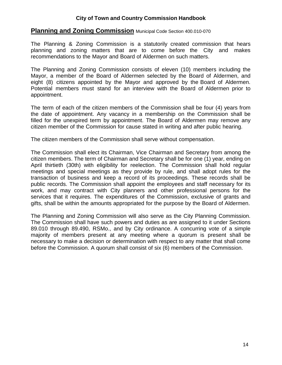#### **Planning and Zoning Commission** Municipal Code Section 400.010-070

The Planning & Zoning Commission is a statutorily created commission that hears planning and zoning matters that are to come before the City and makes recommendations to the Mayor and Board of Aldermen on such matters.

The Planning and Zoning Commission consists of eleven (10) members including the Mayor, a member of the Board of Aldermen selected by the Board of Aldermen, and eight (8) citizens appointed by the Mayor and approved by the Board of Aldermen. Potential members must stand for an interview with the Board of Aldermen prior to appointment.

The term of each of the citizen members of the Commission shall be four (4) years from the date of appointment. Any vacancy in a membership on the Commission shall be filled for the unexpired term by appointment. The Board of Aldermen may remove any citizen member of the Commission for cause stated in writing and after public hearing.

The citizen members of the Commission shall serve without compensation.

The Commission shall elect its Chairman, Vice Chairman and Secretary from among the citizen members. The term of Chairman and Secretary shall be for one (1) year, ending on April thirtieth (30th) with eligibility for reelection. The Commission shall hold regular meetings and special meetings as they provide by rule, and shall adopt rules for the transaction of business and keep a record of its proceedings. These records shall be public records. The Commission shall appoint the employees and staff necessary for its work, and may contract with City planners and other professional persons for the services that it requires. The expenditures of the Commission, exclusive of grants and gifts, shall be within the amounts appropriated for the purpose by the Board of Aldermen.

The Planning and Zoning Commission will also serve as the City Planning Commission. The Commission shall have such powers and duties as are assigned to it under Sections 89.010 through 89.490, RSMo., and by City ordinance. A concurring vote of a simple majority of members present at any meeting where a quorum is present shall be necessary to make a decision or determination with respect to any matter that shall come before the Commission. A quorum shall consist of six (6) members of the Commission.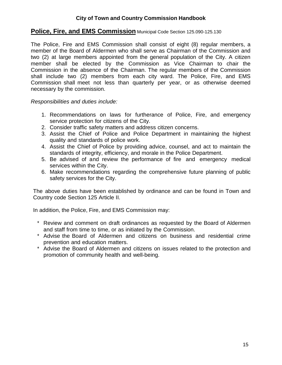#### **Police, Fire, and EMS Commission** Municipal Code Section 125.090-125.130

The Police, Fire and EMS Commission shall consist of eight (8) regular members, a member of the Board of Aldermen who shall serve as Chairman of the Commission and two (2) at large members appointed from the general population of the City. A citizen member shall be elected by the Commission as Vice Chairman to chair the Commission in the absence of the Chairman. The regular members of the Commission shall include two (2) members from each city ward. The Police, Fire, and EMS Commission shall meet not less than quarterly per year, or as otherwise deemed necessary by the commission.

*Responsibilities and duties include:*

- 1. Recommendations on laws for furtherance of Police, Fire, and emergency service protection for citizens of the City.
- 2. Consider traffic safety matters and address citizen concerns.
- 3. Assist the Chief of Police and Police Department in maintaining the highest quality and standards of police work.
- 4. Assist the Chief of Police by providing advice, counsel, and act to maintain the standards of integrity, efficiency, and morale in the Police Department.
- 5. Be advised of and review the performance of fire and emergency medical services within the City.
- 6. Make recommendations regarding the comprehensive future planning of public safety services for the City.

The above duties have been established by ordinance and can be found in Town and Country code Section 125 Article II.

In addition, the Police, Fire, and EMS Commission may:

- Review and comment on draft ordinances as requested by the Board of Aldermen and staff from time to time, or as initiated by the Commission.
- \* Advise the Board of Aldermen and citizens on business and residential crime prevention and education matters.
- \* Advise the Board of Aldermen and citizens on issues related to the protection and promotion of community health and well-being.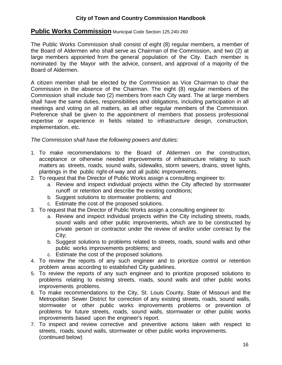#### **Public Works Commission** Municipal Code Section 125.240-260

The Public Works Commission shall consist of eight (8) regular members, a member of the Board of Aldermen who shall serve as Chairman of the Commission, and two (2) at large members appointed from the general population of the City. Each member is nominated by the Mayor with the advice, consent, and approval of a majority of the Board of Aldermen.

A citizen member shall be elected by the Commission as Vice Chairman to chair the Commission in the absence of the Chairman. The eight (8) regular members of the Commission shall include two (2) members from each City ward. The at large members shall have the same duties, responsibilities and obligations, including participation in all meetings and voting on all matters, as all other regular members of the Commission. Preference shall be given to the appointment of members that possess professional expertise or experience in fields related to infrastructure design, construction, implementation, etc.

*The Commission shall have the following powers and duties:*

- 1. To make recommendations to the Board of Aldermen on the construction, acceptance or otherwise needed improvements of infrastructure relating to such matters as streets, roads, sound walls, sidewalks, storm sewers, drains, street lights, plantings in the public right-of-way and all public improvements.
- 2. To request that the Director of Public Works assign a consulting engineer to:
	- a. Review and inspect individual projects within the City affected by stormwater runoff or retention and describe the existing conditions;
	- b. Suggest solutions to stormwater problems; and
	- c. Estimate the cost of the proposed solutions.
- 3. To request that the Director of Public Works assign a consulting engineer to:
	- a. Review and inspect individual projects within the City including streets, roads, sound walls and other public improvements, which are to be constructed by private person or contractor under the review of and/or under contract by the City;
	- b. Suggest solutions to problems related to streets, roads, sound walls and other public works improvements problems; and
	- c. Estimate the cost of the proposed solutions.
- 4. To review the reports of any such engineer and to prioritize control or retention problem areas according to established City guidelines.
- 5. To review the reports of any such engineer and to prioritize proposed solutions to problems relating to existing streets, roads, sound walls and other public works improvements problems.
- 6. To make recommendations to the City, St. Louis County, State of Missouri and the Metropolitan Sewer District for correction of any existing streets, roads, sound walls, stormwater or other public works improvements problems or prevention of problems for future streets, roads, sound walls, stormwater or other public works improvements based upon the engineer's report.
- 7. To inspect and review corrective and preventive actions taken with respect to streets, roads, sound walls, stormwater or other public works improvements. (continued below)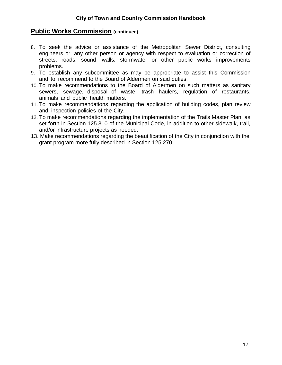## **Public Works Commission (continued)**

- 8. To seek the advice or assistance of the Metropolitan Sewer District, consulting engineers or any other person or agency with respect to evaluation or correction of streets, roads, sound walls, stormwater or other public works improvements problems.
- 9. To establish any subcommittee as may be appropriate to assist this Commission and to recommend to the Board of Aldermen on said duties.
- 10. To make recommendations to the Board of Aldermen on such matters as sanitary sewers, sewage, disposal of waste, trash haulers, regulation of restaurants, animals and public health matters.
- 11. To make recommendations regarding the application of building codes, plan review and inspection policies of the City.
- 12. To make recommendations regarding the implementation of the Trails Master Plan, as set forth in Section 125.310 of the Municipal Code, in addition to other sidewalk, trail, and/or infrastructure projects as needed.
- 13. Make recommendations regarding the beautification of the City in conjunction with the grant program more fully described in Section 125.270.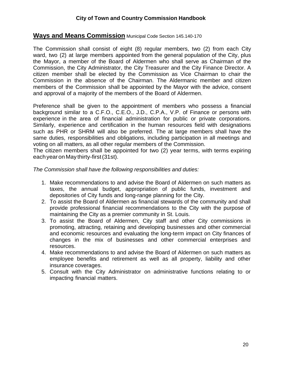#### **Ways and Means Commission** Municipal Code Section 145.140-170

The Commission shall consist of eight (8) regular members, two (2) from each City ward, two (2) at large members appointed from the general population of the City, plus the Mayor, a member of the Board of Aldermen who shall serve as Chairman of the Commission, the City Administrator, the City Treasurer and the City Finance Director. A citizen member shall be elected by the Commission as Vice Chairman to chair the Commission in the absence of the Chairman. The Aldermanic member and citizen members of the Commission shall be appointed by the Mayor with the advice, consent and approval of a majority of the members of the Board of Aldermen.

Preference shall be given to the appointment of members who possess a financial background similar to a C.F.O., C.E.O., J.D., C.P.A., V.P. of Finance or persons with experience in the area of financial administration for public or private corporations. Similarly, experience and certification in the human resources field with designations such as PHR or SHRM will also be preferred. The at large members shall have the same duties, responsibilities and obligations, including participation in all meetings and voting on all matters, as all other regular members of the Commission.

The citizen members shall be appointed for two (2) year terms, with terms expiring eachyearonMay thirty-first(31st).

*The Commission shall have the following responsibilities and duties:*

- 1. Make recommendations to and advise the Board of Aldermen on such matters as taxes, the annual budget, appropriation of public funds, investment and depositories of City funds and long-range planning for the City.
- 2. To assist the Board of Aldermen as financial stewards of the community and shall provide professional financial recommendations to the City with the purpose of maintaining the City as a premier community in St. Louis.
- 3. To assist the Board of Aldermen, City staff and other City commissions in promoting, attracting, retaining and developing businesses and other commercial and economic resources and evaluating the long-term impact on City finances of changes in the mix of businesses and other commercial enterprises and resources.
- 4. Make recommendations to and advise the Board of Aldermen on such matters as employee benefits and retirement as well as all property, liability and other insurance coverages.
- 5. Consult with the City Administrator on administrative functions relating to or impacting financial matters.